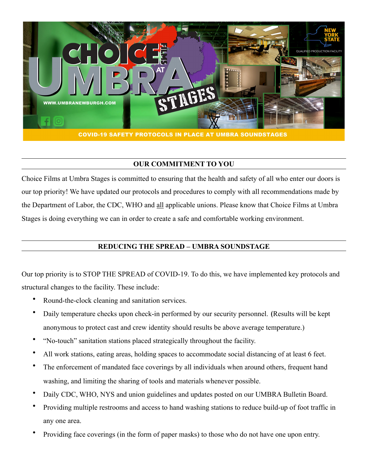

## **OUR COMMITMENT TO YOU**

Choice Films at Umbra Stages is committed to ensuring that the health and safety of all who enter our doors is our top priority! We have updated our protocols and procedures to comply with all recommendations made by the Department of Labor, the CDC, WHO and all applicable unions. Please know that Choice Films at Umbra Stages is doing everything we can in order to create a safe and comfortable working environment.

# **REDUCING THE SPREAD – UMBRA SOUNDSTAGE**

Our top priority is to STOP THE SPREAD of COVID-19. To do this, we have implemented key protocols and structural changes to the facility. These include:

- Round-the-clock cleaning and sanitation services.
- Daily temperature checks upon check-in performed by our security personnel. (Results will be kept anonymous to protect cast and crew identity should results be above average temperature.)
- "No-touch" sanitation stations placed strategically throughout the facility.
- All work stations, eating areas, holding spaces to accommodate social distancing of at least 6 feet.
- The enforcement of mandated face coverings by all individuals when around others, frequent hand washing, and limiting the sharing of tools and materials whenever possible.
- Daily CDC, WHO, NYS and union guidelines and updates posted on our UMBRA Bulletin Board.
- Providing multiple restrooms and access to hand washing stations to reduce build-up of foot traffic in any one area.
- Providing face coverings (in the form of paper masks) to those who do not have one upon entry.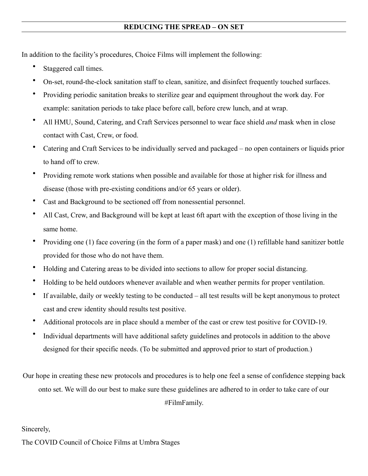## **REDUCING THE SPREAD – ON SET**

In addition to the facility's procedures, Choice Films will implement the following:

- Staggered call times.
- On-set, round-the-clock sanitation staff to clean, sanitize, and disinfect frequently touched surfaces.
- Providing periodic sanitation breaks to sterilize gear and equipment throughout the work day. For example: sanitation periods to take place before call, before crew lunch, and at wrap.
- All HMU, Sound, Catering, and Craft Services personnel to wear face shield *and* mask when in close contact with Cast, Crew, or food.
- Catering and Craft Services to be individually served and packaged no open containers or liquids prior to hand off to crew.
- Providing remote work stations when possible and available for those at higher risk for illness and disease (those with pre-existing conditions and/or 65 years or older).
- Cast and Background to be sectioned off from nonessential personnel.
- All Cast, Crew, and Background will be kept at least 6ft apart with the exception of those living in the same home.
- Providing one (1) face covering (in the form of a paper mask) and one (1) refillable hand sanitizer bottle provided for those who do not have them.
- Holding and Catering areas to be divided into sections to allow for proper social distancing.
- Holding to be held outdoors whenever available and when weather permits for proper ventilation.
- If available, daily or weekly testing to be conducted all test results will be kept anonymous to protect cast and crew identity should results test positive.
- Additional protocols are in place should a member of the cast or crew test positive for COVID-19.
- Individual departments will have additional safety guidelines and protocols in addition to the above designed for their specific needs. (To be submitted and approved prior to start of production.)

Our hope in creating these new protocols and procedures is to help one feel a sense of confidence stepping back onto set. We will do our best to make sure these guidelines are adhered to in order to take care of our

#FilmFamily.

## Sincerely,

The COVID Council of Choice Films at Umbra Stages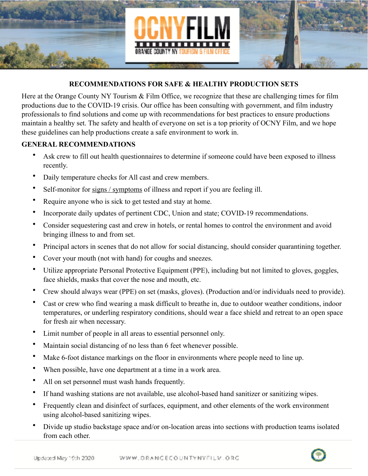

## **RECOMMENDATIONS FOR SAFE & HEALTHY PRODUCTION SETS**

Here at the Orange County NY Tourism & Film Office, we recognize that these are challenging times for film productions due to the COVID-19 crisis. Our office has been consulting with government, and film industry professionals to find solutions and come up with recommendations for best practices to ensure productions maintain a healthy set. The safety and health of everyone on set is a top priority of OCNY Film, and we hope these guidelines can help productions create a safe environment to work in.

#### **GENERAL RECOMMENDATIONS**

- Ask crew to fill out health questionnaires to determine if someone could have been exposed to illness recently.
- Daily temperature checks for All cast and crew members.
- Self-monitor for [signs / symptoms](https://coronavirus.health.ny.gov/protect-yourself-and-your-family-coronavirus-covid-19?gclid=CjwKCAjwh472BRAGEiwAvHVfGqzQX3GklC0pjZ6kF_Bm0QQzfMUYFmACNZfdKyJBFh2BVOklAhKgthoCws4QAvD_BwE) of illness and report if you are feeling ill.
- Require anyone who is sick to get tested and stay at home.
- Incorporate daily updates of pertinent CDC, Union and state; COVID-19 recommendations.
- Consider sequestering cast and crew in hotels, or rental homes to control the environment and avoid bringing illness to and from set.
- Principal actors in scenes that do not allow for social distancing, should consider quarantining together.
- Cover your mouth (not with hand) for coughs and sneezes.
- Utilize appropriate Personal Protective Equipment (PPE), including but not limited to gloves, goggles, face shields, masks that cover the nose and mouth, etc.
- Crew should always wear (PPE) on set (masks, gloves). (Production and/or individuals need to provide).
- Cast or crew who find wearing a mask difficult to breathe in, due to outdoor weather conditions, indoor temperatures, or underling respiratory conditions, should wear a face shield and retreat to an open space for fresh air when necessary.
- Limit number of people in all areas to essential personnel only.
- Maintain social distancing of no less than 6 feet whenever possible.
- Make 6-foot distance markings on the floor in environments where people need to line up.
- When possible, have one department at a time in a work area.
- All on set personnel must wash hands frequently.
- If hand washing stations are not available, use alcohol-based hand sanitizer or sanitizing wipes.
- Frequently clean and disinfect of surfaces, equipment, and other elements of the work environment using alcohol-based sanitizing wipes.
- Divide up studio backstage space and/or on-location areas into sections with production teams isolated from each other.

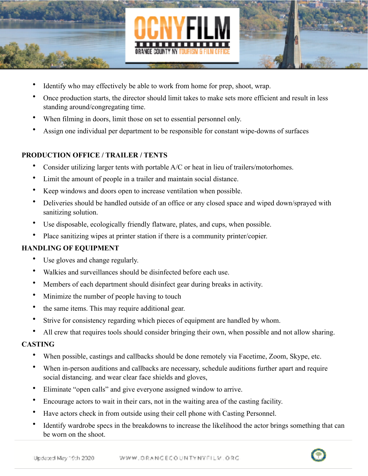

- Identify who may effectively be able to work from home for prep, shoot, wrap.
- Once production starts, the director should limit takes to make sets more efficient and result in less standing around/congregating time.
- When filming in doors, limit those on set to essential personnel only.
- Assign one individual per department to be responsible for constant wipe-downs of surfaces

# **PRODUCTION OFFICE / TRAILER / TENTS**

- Consider utilizing larger tents with portable A/C or heat in lieu of trailers/motorhomes.
- Limit the amount of people in a trailer and maintain social distance.
- Keep windows and doors open to increase ventilation when possible.
- Deliveries should be handled outside of an office or any closed space and wiped down/sprayed with sanitizing solution.
- Use disposable, ecologically friendly flatware, plates, and cups, when possible.
- Place sanitizing wipes at printer station if there is a community printer/copier.

# **HANDLING OF EQUIPMENT**

- Use gloves and change regularly.
- Walkies and surveillances should be disinfected before each use.
- Members of each department should disinfect gear during breaks in activity.
- Minimize the number of people having to touch
- the same items. This may require additional gear.
- Strive for consistency regarding which pieces of equipment are handled by whom.
- All crew that requires tools should consider bringing their own, when possible and not allow sharing.

## **CASTING**

- When possible, castings and callbacks should be done remotely via Facetime, Zoom, Skype, etc.
- When in-person auditions and callbacks are necessary, schedule auditions further apart and require social distancing. and wear clear face shields and gloves,
- Eliminate "open calls" and give everyone assigned window to arrive.
- Encourage actors to wait in their cars, not in the waiting area of the casting facility.
- Have actors check in from outside using their cell phone with Casting Personnel.
- Identify wardrobe specs in the breakdowns to increase the likelihood the actor brings something that can be worn on the shoot.

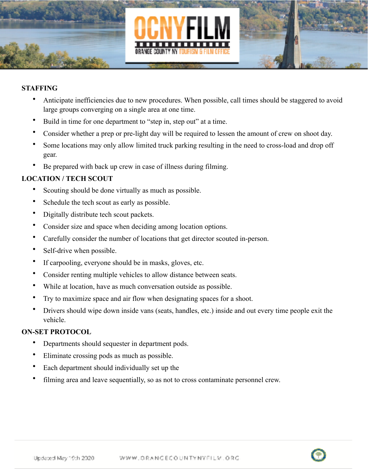

#### **STAFFING**

- Anticipate inefficiencies due to new procedures. When possible, call times should be staggered to avoid large groups converging on a single area at one time.
- Build in time for one department to "step in, step out" at a time.
- Consider whether a prep or pre-light day will be required to lessen the amount of crew on shoot day.
- Some locations may only allow limited truck parking resulting in the need to cross-load and drop off gear.
- Be prepared with back up crew in case of illness during filming.

## **LOCATION / TECH SCOUT**

- Scouting should be done virtually as much as possible.
- Schedule the tech scout as early as possible.
- Digitally distribute tech scout packets.
- Consider size and space when deciding among location options.
- Carefully consider the number of locations that get director scouted in-person.
- Self-drive when possible.
- If carpooling, everyone should be in masks, gloves, etc.
- Consider renting multiple vehicles to allow distance between seats.
- While at location, have as much conversation outside as possible.
- Try to maximize space and air flow when designating spaces for a shoot.
- Drivers should wipe down inside vans (seats, handles, etc.) inside and out every time people exit the vehicle.

## **ON-SET PROTOCOL**

- Departments should sequester in department pods.
- Eliminate crossing pods as much as possible.
- Each department should individually set up the
- filming area and leave sequentially, so as not to cross contaminate personnel crew.

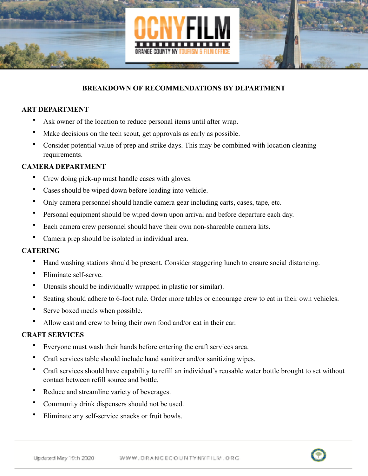

#### **BREAKDOWN OF RECOMMENDATIONS BY DEPARTMENT**

#### **ART DEPARTMENT**

- Ask owner of the location to reduce personal items until after wrap.
- Make decisions on the tech scout, get approvals as early as possible.
- Consider potential value of prep and strike days. This may be combined with location cleaning requirements.

## **CAMERA DEPARTMENT**

- Crew doing pick-up must handle cases with gloves.
- Cases should be wiped down before loading into vehicle.
- Only camera personnel should handle camera gear including carts, cases, tape, etc.
- Personal equipment should be wiped down upon arrival and before departure each day.
- Each camera crew personnel should have their own non-shareable camera kits.
- Camera prep should be isolated in individual area.

#### **CATERING**

- Hand washing stations should be present. Consider staggering lunch to ensure social distancing.
- Eliminate self-serve.
- Utensils should be individually wrapped in plastic (or similar).
- Seating should adhere to 6-foot rule. Order more tables or encourage crew to eat in their own vehicles.
- Serve boxed meals when possible.
- Allow cast and crew to bring their own food and/or eat in their car.

## **CRAFT SERVICES**

- Everyone must wash their hands before entering the craft services area.
- Craft services table should include hand sanitizer and/or sanitizing wipes.
- Craft services should have capability to refill an individual's reusable water bottle brought to set without contact between refill source and bottle.
- Reduce and streamline variety of beverages.
- Community drink dispensers should not be used.
- Eliminate any self-service snacks or fruit bowls.

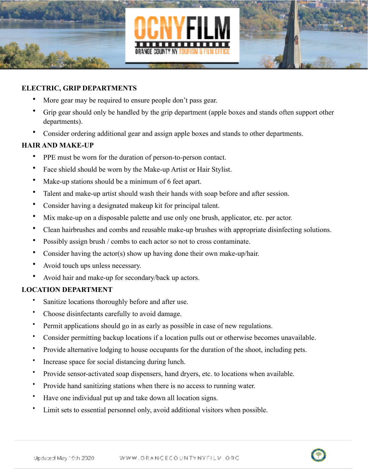

#### **ELECTRIC, GRIP DEPARTMENTS**

- More gear may be required to ensure people don't pass gear.
- Grip gear should only be handled by the grip department (apple boxes and stands often support other departments).
- Consider ordering additional gear and assign apple boxes and stands to other departments.

#### **HAIR AND MAKE-UP**

- PPE must be worn for the duration of person-to-person contact.
- Face shield should be worn by the Make-up Artist or Hair Stylist.
- Make-up stations should be a minimum of 6 feet apart.
- Talent and make-up artist should wash their hands with soap before and after session.
- Consider having a designated makeup kit for principal talent.
- Mix make-up on a disposable palette and use only one brush, applicator, etc. per actor.
- Clean hairbrushes and combs and reusable make-up brushes with appropriate disinfecting solutions.
- Possibly assign brush / combs to each actor so not to cross contaminate.
- Consider having the actor(s) show up having done their own make-up/hair.
- Avoid touch ups unless necessary.
- Avoid hair and make-up for secondary/back up actors.

## **LOCATION DEPARTMENT**

- Sanitize locations thoroughly before and after use.
- Choose disinfectants carefully to avoid damage.
- Permit applications should go in as early as possible in case of new regulations.
- Consider permitting backup locations if a location pulls out or otherwise becomes unavailable.
- Provide alternative lodging to house occupants for the duration of the shoot, including pets.
- Increase space for social distancing during lunch.
- Provide sensor-activated soap dispensers, hand dryers, etc. to locations when available.
- Provide hand sanitizing stations when there is no access to running water.
- Have one individual put up and take down all location signs.
- Limit sets to essential personnel only, avoid additional visitors when possible.

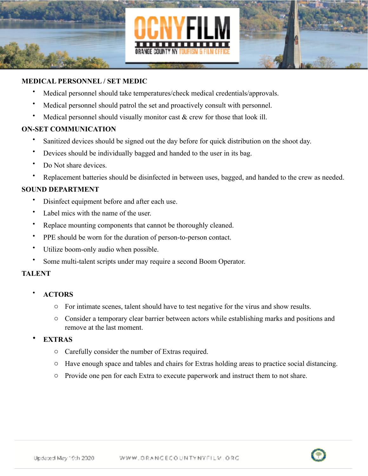

#### **MEDICAL PERSONNEL / SET MEDIC**

- Medical personnel should take temperatures/check medical credentials/approvals.
- Medical personnel should patrol the set and proactively consult with personnel.
- Medical personnel should visually monitor cast  $\&$  crew for those that look ill.

#### **ON-SET COMMUNICATION**

- Sanitized devices should be signed out the day before for quick distribution on the shoot day.
- Devices should be individually bagged and handed to the user in its bag.
- Do Not share devices.
- Replacement batteries should be disinfected in between uses, bagged, and handed to the crew as needed.

#### **SOUND DEPARTMENT**

- Disinfect equipment before and after each use.
- Label mics with the name of the user.
- Replace mounting components that cannot be thoroughly cleaned.
- PPE should be worn for the duration of person-to-person contact.
- Utilize boom-only audio when possible.
- Some multi-talent scripts under may require a second Boom Operator.

#### **TALENT**

- **ACTORS**
	- o For intimate scenes, talent should have to test negative for the virus and show results.
	- o Consider a temporary clear barrier between actors while establishing marks and positions and remove at the last moment.
- **EXTRAS**
	- o Carefully consider the number of Extras required.
	- o Have enough space and tables and chairs for Extras holding areas to practice social distancing.
	- o Provide one pen for each Extra to execute paperwork and instruct them to not share.